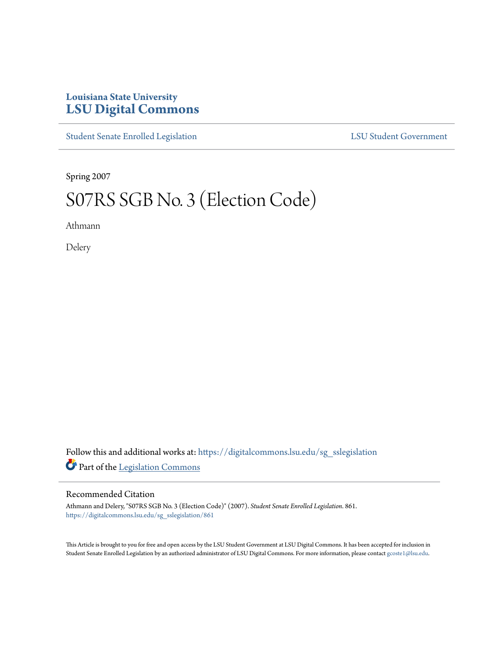## **Louisiana State University [LSU Digital Commons](https://digitalcommons.lsu.edu?utm_source=digitalcommons.lsu.edu%2Fsg_sslegislation%2F861&utm_medium=PDF&utm_campaign=PDFCoverPages)**

[Student Senate Enrolled Legislation](https://digitalcommons.lsu.edu/sg_sslegislation?utm_source=digitalcommons.lsu.edu%2Fsg_sslegislation%2F861&utm_medium=PDF&utm_campaign=PDFCoverPages) [LSU Student Government](https://digitalcommons.lsu.edu/sg?utm_source=digitalcommons.lsu.edu%2Fsg_sslegislation%2F861&utm_medium=PDF&utm_campaign=PDFCoverPages)

Spring 2007

## S07RS SGB No. 3 (Election Code)

Athmann

Delery

Follow this and additional works at: [https://digitalcommons.lsu.edu/sg\\_sslegislation](https://digitalcommons.lsu.edu/sg_sslegislation?utm_source=digitalcommons.lsu.edu%2Fsg_sslegislation%2F861&utm_medium=PDF&utm_campaign=PDFCoverPages) Part of the [Legislation Commons](http://network.bepress.com/hgg/discipline/859?utm_source=digitalcommons.lsu.edu%2Fsg_sslegislation%2F861&utm_medium=PDF&utm_campaign=PDFCoverPages)

## Recommended Citation

Athmann and Delery, "S07RS SGB No. 3 (Election Code)" (2007). *Student Senate Enrolled Legislation*. 861. [https://digitalcommons.lsu.edu/sg\\_sslegislation/861](https://digitalcommons.lsu.edu/sg_sslegislation/861?utm_source=digitalcommons.lsu.edu%2Fsg_sslegislation%2F861&utm_medium=PDF&utm_campaign=PDFCoverPages)

This Article is brought to you for free and open access by the LSU Student Government at LSU Digital Commons. It has been accepted for inclusion in Student Senate Enrolled Legislation by an authorized administrator of LSU Digital Commons. For more information, please contact [gcoste1@lsu.edu.](mailto:gcoste1@lsu.edu)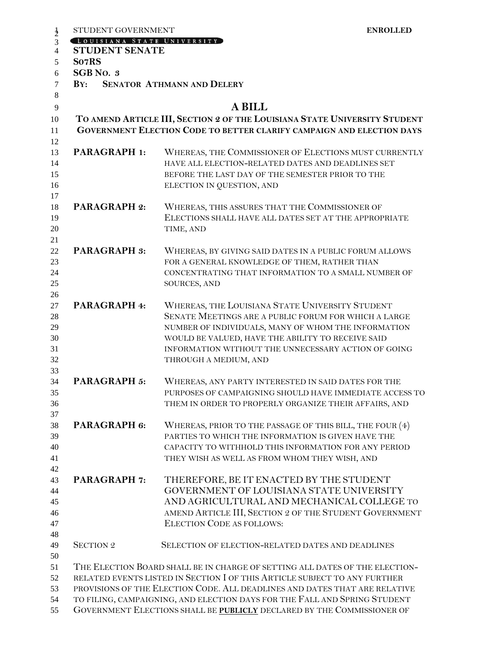| LOUISIANA STATE UNIVERSITY<br><b>STUDENT SENATE</b><br>So7RS<br>SGB No. 3<br>$\mathbf{B} \mathbf{Y}$ :<br><b>SENATOR ATHMANN AND DELERY</b><br><b>A BILL</b><br>TO AMEND ARTICLE III, SECTION 2 OF THE LOUISIANA STATE UNIVERSITY STUDENT<br>GOVERNMENT ELECTION CODE TO BETTER CLARIFY CAMPAIGN AND ELECTION DAYS<br><b>PARAGRAPH 1:</b><br>WHEREAS, THE COMMISSIONER OF ELECTIONS MUST CURRENTLY<br>HAVE ALL ELECTION-RELATED DATES AND DEADLINES SET<br>BEFORE THE LAST DAY OF THE SEMESTER PRIOR TO THE<br>ELECTION IN QUESTION, AND<br><b>PARAGRAPH 2:</b><br>WHEREAS, THIS ASSURES THAT THE COMMISSIONER OF<br>ELECTIONS SHALL HAVE ALL DATES SET AT THE APPROPRIATE<br>TIME, AND<br><b>PARAGRAPH 3:</b><br>WHEREAS, BY GIVING SAID DATES IN A PUBLIC FORUM ALLOWS<br>FOR A GENERAL KNOWLEDGE OF THEM, RATHER THAN<br>CONCENTRATING THAT INFORMATION TO A SMALL NUMBER OF<br>SOURCES, AND<br>PARAGRAPH 4:<br>WHEREAS, THE LOUISIANA STATE UNIVERSITY STUDENT<br>SENATE MEETINGS ARE A PUBLIC FORUM FOR WHICH A LARGE<br>NUMBER OF INDIVIDUALS, MANY OF WHOM THE INFORMATION<br>WOULD BE VALUED, HAVE THE ABILITY TO RECEIVE SAID<br>INFORMATION WITHOUT THE UNNECESSARY ACTION OF GOING<br>THROUGH A MEDIUM, AND<br>PARAGRAPH 5:<br>WHEREAS, ANY PARTY INTERESTED IN SAID DATES FOR THE<br>PURPOSES OF CAMPAIGNING SHOULD HAVE IMMEDIATE ACCESS TO<br>THEM IN ORDER TO PROPERLY ORGANIZE THEIR AFFAIRS, AND<br>PARAGRAPH 6:<br>WHEREAS, PRIOR TO THE PASSAGE OF THIS BILL, THE FOUR (4)<br>PARTIES TO WHICH THE INFORMATION IS GIVEN HAVE THE<br>CAPACITY TO WITHHOLD THIS INFORMATION FOR ANY PERIOD |
|-------------------------------------------------------------------------------------------------------------------------------------------------------------------------------------------------------------------------------------------------------------------------------------------------------------------------------------------------------------------------------------------------------------------------------------------------------------------------------------------------------------------------------------------------------------------------------------------------------------------------------------------------------------------------------------------------------------------------------------------------------------------------------------------------------------------------------------------------------------------------------------------------------------------------------------------------------------------------------------------------------------------------------------------------------------------------------------------------------------------------------------------------------------------------------------------------------------------------------------------------------------------------------------------------------------------------------------------------------------------------------------------------------------------------------------------------------------------------------------------------------------------------------------------------------------------------------------------------------------|
|                                                                                                                                                                                                                                                                                                                                                                                                                                                                                                                                                                                                                                                                                                                                                                                                                                                                                                                                                                                                                                                                                                                                                                                                                                                                                                                                                                                                                                                                                                                                                                                                             |
|                                                                                                                                                                                                                                                                                                                                                                                                                                                                                                                                                                                                                                                                                                                                                                                                                                                                                                                                                                                                                                                                                                                                                                                                                                                                                                                                                                                                                                                                                                                                                                                                             |
|                                                                                                                                                                                                                                                                                                                                                                                                                                                                                                                                                                                                                                                                                                                                                                                                                                                                                                                                                                                                                                                                                                                                                                                                                                                                                                                                                                                                                                                                                                                                                                                                             |
|                                                                                                                                                                                                                                                                                                                                                                                                                                                                                                                                                                                                                                                                                                                                                                                                                                                                                                                                                                                                                                                                                                                                                                                                                                                                                                                                                                                                                                                                                                                                                                                                             |
|                                                                                                                                                                                                                                                                                                                                                                                                                                                                                                                                                                                                                                                                                                                                                                                                                                                                                                                                                                                                                                                                                                                                                                                                                                                                                                                                                                                                                                                                                                                                                                                                             |
|                                                                                                                                                                                                                                                                                                                                                                                                                                                                                                                                                                                                                                                                                                                                                                                                                                                                                                                                                                                                                                                                                                                                                                                                                                                                                                                                                                                                                                                                                                                                                                                                             |
|                                                                                                                                                                                                                                                                                                                                                                                                                                                                                                                                                                                                                                                                                                                                                                                                                                                                                                                                                                                                                                                                                                                                                                                                                                                                                                                                                                                                                                                                                                                                                                                                             |
|                                                                                                                                                                                                                                                                                                                                                                                                                                                                                                                                                                                                                                                                                                                                                                                                                                                                                                                                                                                                                                                                                                                                                                                                                                                                                                                                                                                                                                                                                                                                                                                                             |
|                                                                                                                                                                                                                                                                                                                                                                                                                                                                                                                                                                                                                                                                                                                                                                                                                                                                                                                                                                                                                                                                                                                                                                                                                                                                                                                                                                                                                                                                                                                                                                                                             |
|                                                                                                                                                                                                                                                                                                                                                                                                                                                                                                                                                                                                                                                                                                                                                                                                                                                                                                                                                                                                                                                                                                                                                                                                                                                                                                                                                                                                                                                                                                                                                                                                             |
|                                                                                                                                                                                                                                                                                                                                                                                                                                                                                                                                                                                                                                                                                                                                                                                                                                                                                                                                                                                                                                                                                                                                                                                                                                                                                                                                                                                                                                                                                                                                                                                                             |
|                                                                                                                                                                                                                                                                                                                                                                                                                                                                                                                                                                                                                                                                                                                                                                                                                                                                                                                                                                                                                                                                                                                                                                                                                                                                                                                                                                                                                                                                                                                                                                                                             |
|                                                                                                                                                                                                                                                                                                                                                                                                                                                                                                                                                                                                                                                                                                                                                                                                                                                                                                                                                                                                                                                                                                                                                                                                                                                                                                                                                                                                                                                                                                                                                                                                             |
|                                                                                                                                                                                                                                                                                                                                                                                                                                                                                                                                                                                                                                                                                                                                                                                                                                                                                                                                                                                                                                                                                                                                                                                                                                                                                                                                                                                                                                                                                                                                                                                                             |
|                                                                                                                                                                                                                                                                                                                                                                                                                                                                                                                                                                                                                                                                                                                                                                                                                                                                                                                                                                                                                                                                                                                                                                                                                                                                                                                                                                                                                                                                                                                                                                                                             |
|                                                                                                                                                                                                                                                                                                                                                                                                                                                                                                                                                                                                                                                                                                                                                                                                                                                                                                                                                                                                                                                                                                                                                                                                                                                                                                                                                                                                                                                                                                                                                                                                             |
|                                                                                                                                                                                                                                                                                                                                                                                                                                                                                                                                                                                                                                                                                                                                                                                                                                                                                                                                                                                                                                                                                                                                                                                                                                                                                                                                                                                                                                                                                                                                                                                                             |
|                                                                                                                                                                                                                                                                                                                                                                                                                                                                                                                                                                                                                                                                                                                                                                                                                                                                                                                                                                                                                                                                                                                                                                                                                                                                                                                                                                                                                                                                                                                                                                                                             |
|                                                                                                                                                                                                                                                                                                                                                                                                                                                                                                                                                                                                                                                                                                                                                                                                                                                                                                                                                                                                                                                                                                                                                                                                                                                                                                                                                                                                                                                                                                                                                                                                             |
|                                                                                                                                                                                                                                                                                                                                                                                                                                                                                                                                                                                                                                                                                                                                                                                                                                                                                                                                                                                                                                                                                                                                                                                                                                                                                                                                                                                                                                                                                                                                                                                                             |
|                                                                                                                                                                                                                                                                                                                                                                                                                                                                                                                                                                                                                                                                                                                                                                                                                                                                                                                                                                                                                                                                                                                                                                                                                                                                                                                                                                                                                                                                                                                                                                                                             |
|                                                                                                                                                                                                                                                                                                                                                                                                                                                                                                                                                                                                                                                                                                                                                                                                                                                                                                                                                                                                                                                                                                                                                                                                                                                                                                                                                                                                                                                                                                                                                                                                             |
|                                                                                                                                                                                                                                                                                                                                                                                                                                                                                                                                                                                                                                                                                                                                                                                                                                                                                                                                                                                                                                                                                                                                                                                                                                                                                                                                                                                                                                                                                                                                                                                                             |
|                                                                                                                                                                                                                                                                                                                                                                                                                                                                                                                                                                                                                                                                                                                                                                                                                                                                                                                                                                                                                                                                                                                                                                                                                                                                                                                                                                                                                                                                                                                                                                                                             |
|                                                                                                                                                                                                                                                                                                                                                                                                                                                                                                                                                                                                                                                                                                                                                                                                                                                                                                                                                                                                                                                                                                                                                                                                                                                                                                                                                                                                                                                                                                                                                                                                             |
|                                                                                                                                                                                                                                                                                                                                                                                                                                                                                                                                                                                                                                                                                                                                                                                                                                                                                                                                                                                                                                                                                                                                                                                                                                                                                                                                                                                                                                                                                                                                                                                                             |
|                                                                                                                                                                                                                                                                                                                                                                                                                                                                                                                                                                                                                                                                                                                                                                                                                                                                                                                                                                                                                                                                                                                                                                                                                                                                                                                                                                                                                                                                                                                                                                                                             |
|                                                                                                                                                                                                                                                                                                                                                                                                                                                                                                                                                                                                                                                                                                                                                                                                                                                                                                                                                                                                                                                                                                                                                                                                                                                                                                                                                                                                                                                                                                                                                                                                             |
|                                                                                                                                                                                                                                                                                                                                                                                                                                                                                                                                                                                                                                                                                                                                                                                                                                                                                                                                                                                                                                                                                                                                                                                                                                                                                                                                                                                                                                                                                                                                                                                                             |
|                                                                                                                                                                                                                                                                                                                                                                                                                                                                                                                                                                                                                                                                                                                                                                                                                                                                                                                                                                                                                                                                                                                                                                                                                                                                                                                                                                                                                                                                                                                                                                                                             |
|                                                                                                                                                                                                                                                                                                                                                                                                                                                                                                                                                                                                                                                                                                                                                                                                                                                                                                                                                                                                                                                                                                                                                                                                                                                                                                                                                                                                                                                                                                                                                                                                             |
|                                                                                                                                                                                                                                                                                                                                                                                                                                                                                                                                                                                                                                                                                                                                                                                                                                                                                                                                                                                                                                                                                                                                                                                                                                                                                                                                                                                                                                                                                                                                                                                                             |
|                                                                                                                                                                                                                                                                                                                                                                                                                                                                                                                                                                                                                                                                                                                                                                                                                                                                                                                                                                                                                                                                                                                                                                                                                                                                                                                                                                                                                                                                                                                                                                                                             |
| THEY WISH AS WELL AS FROM WHOM THEY WISH, AND                                                                                                                                                                                                                                                                                                                                                                                                                                                                                                                                                                                                                                                                                                                                                                                                                                                                                                                                                                                                                                                                                                                                                                                                                                                                                                                                                                                                                                                                                                                                                               |
|                                                                                                                                                                                                                                                                                                                                                                                                                                                                                                                                                                                                                                                                                                                                                                                                                                                                                                                                                                                                                                                                                                                                                                                                                                                                                                                                                                                                                                                                                                                                                                                                             |
| THEREFORE, BE IT ENACTED BY THE STUDENT<br><b>PARAGRAPH 7:</b><br>GOVERNMENT OF LOUISIANA STATE UNIVERSITY                                                                                                                                                                                                                                                                                                                                                                                                                                                                                                                                                                                                                                                                                                                                                                                                                                                                                                                                                                                                                                                                                                                                                                                                                                                                                                                                                                                                                                                                                                  |
| AND AGRICULTURAL AND MECHANICAL COLLEGE TO                                                                                                                                                                                                                                                                                                                                                                                                                                                                                                                                                                                                                                                                                                                                                                                                                                                                                                                                                                                                                                                                                                                                                                                                                                                                                                                                                                                                                                                                                                                                                                  |
| AMEND ARTICLE III, SECTION 2 OF THE STUDENT GOVERNMENT                                                                                                                                                                                                                                                                                                                                                                                                                                                                                                                                                                                                                                                                                                                                                                                                                                                                                                                                                                                                                                                                                                                                                                                                                                                                                                                                                                                                                                                                                                                                                      |
| <b>ELECTION CODE AS FOLLOWS:</b>                                                                                                                                                                                                                                                                                                                                                                                                                                                                                                                                                                                                                                                                                                                                                                                                                                                                                                                                                                                                                                                                                                                                                                                                                                                                                                                                                                                                                                                                                                                                                                            |
|                                                                                                                                                                                                                                                                                                                                                                                                                                                                                                                                                                                                                                                                                                                                                                                                                                                                                                                                                                                                                                                                                                                                                                                                                                                                                                                                                                                                                                                                                                                                                                                                             |
| <b>SECTION 2</b><br>SELECTION OF ELECTION-RELATED DATES AND DEADLINES                                                                                                                                                                                                                                                                                                                                                                                                                                                                                                                                                                                                                                                                                                                                                                                                                                                                                                                                                                                                                                                                                                                                                                                                                                                                                                                                                                                                                                                                                                                                       |
|                                                                                                                                                                                                                                                                                                                                                                                                                                                                                                                                                                                                                                                                                                                                                                                                                                                                                                                                                                                                                                                                                                                                                                                                                                                                                                                                                                                                                                                                                                                                                                                                             |
| THE ELECTION BOARD SHALL BE IN CHARGE OF SETTING ALL DATES OF THE ELECTION-<br>RELATED EVENTS LISTED IN SECTION I OF THIS ARTICLE SUBJECT TO ANY FURTHER                                                                                                                                                                                                                                                                                                                                                                                                                                                                                                                                                                                                                                                                                                                                                                                                                                                                                                                                                                                                                                                                                                                                                                                                                                                                                                                                                                                                                                                    |
| PROVISIONS OF THE ELECTION CODE. ALL DEADLINES AND DATES THAT ARE RELATIVE                                                                                                                                                                                                                                                                                                                                                                                                                                                                                                                                                                                                                                                                                                                                                                                                                                                                                                                                                                                                                                                                                                                                                                                                                                                                                                                                                                                                                                                                                                                                  |
| TO FILING, CAMPAIGNING, AND ELECTION DAYS FOR THE FALL AND SPRING STUDENT                                                                                                                                                                                                                                                                                                                                                                                                                                                                                                                                                                                                                                                                                                                                                                                                                                                                                                                                                                                                                                                                                                                                                                                                                                                                                                                                                                                                                                                                                                                                   |
| GOVERNMENT ELECTIONS SHALL BE PUBLICLY DECLARED BY THE COMMISSIONER OF                                                                                                                                                                                                                                                                                                                                                                                                                                                                                                                                                                                                                                                                                                                                                                                                                                                                                                                                                                                                                                                                                                                                                                                                                                                                                                                                                                                                                                                                                                                                      |